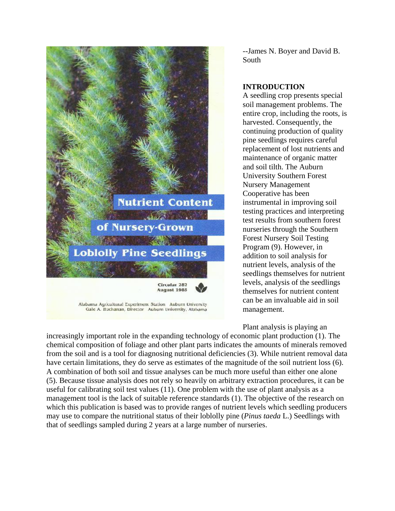

Alabama Agricultural Experiment Station Auburn University Gale A. Buchanan, Director Aubum University, Alabama --James N. Boyer and David B. South

### **INTRODUCTION**

A seedling crop presents special soil management problems. The entire crop, including the roots, is harvested. Consequently, the continuing production of quality pine seedlings requires careful replacement of lost nutrients and maintenance of organic matter and soil tilth. The Auburn University Southern Forest Nursery Management Cooperative has been instrumental in improving soil testing practices and interpreting test results from southern forest nurseries through the Southern Forest Nursery Soil Testing Program (9). However, in addition to soil analysis for nutrient levels, analysis of the seedlings themselves for nutrient levels, analysis of the seedlings themselves for nutrient content can be an invaluable aid in soil management.

Plant analysis is playing an

increasingly important role in the expanding technology of economic plant production (1). The chemical composition of foliage and other plant parts indicates the amounts of minerals removed from the soil and is a tool for diagnosing nutritional deficiencies (3). While nutrient removal data have certain limitations, they do serve as estimates of the magnitude of the soil nutrient loss (6). A combination of both soil and tissue analyses can be much more useful than either one alone (5). Because tissue analysis does not rely so heavily on arbitrary extraction procedures, it can be useful for calibrating soil test values (11). One problem with the use of plant analysis as a management tool is the lack of suitable reference standards (1). The objective of the research on which this publication is based was to provide ranges of nutrient levels which seedling producers may use to compare the nutritional status of their loblolly pine (*Pinus taeda* L.) Seedlings with that of seedlings sampled during 2 years at a large number of nurseries.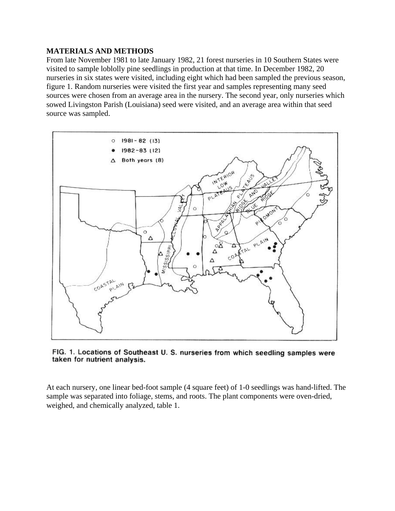#### **MATERIALS AND METHODS**

From late November 1981 to late January 1982, 21 forest nurseries in 10 Southern States were visited to sample loblolly pine seedlings in production at that time. In December 1982, 20 nurseries in six states were visited, including eight which had been sampled the previous season, figure 1. Random nurseries were visited the first year and samples representing many seed sources were chosen from an average area in the nursery. The second year, only nurseries which sowed Livingston Parish (Louisiana) seed were visited, and an average area within that seed source was sampled.



FIG. 1. Locations of Southeast U. S. nurseries from which seedling samples were taken for nutrient analysis.

At each nursery, one linear bed-foot sample (4 square feet) of 1-0 seedlings was hand-lifted. The sample was separated into foliage, stems, and roots. The plant components were oven-dried, weighed, and chemically analyzed, table 1.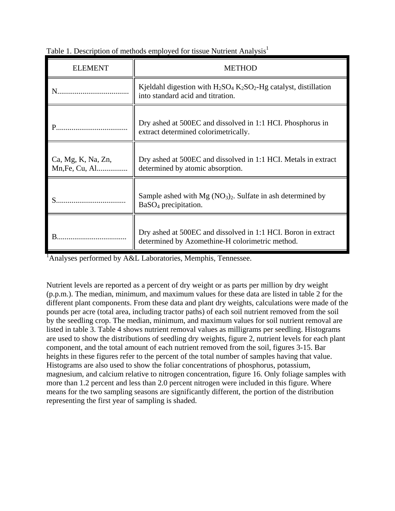| <b>ELEMENT</b>                       | <b>METHOD</b>                                                                                                                    |
|--------------------------------------|----------------------------------------------------------------------------------------------------------------------------------|
|                                      | Kjeldahl digestion with $H_2SO_4$ K <sub>2</sub> SO <sub>2</sub> -Hg catalyst, distillation<br>into standard acid and titration. |
|                                      | Dry ashed at 500EC and dissolved in 1:1 HCI. Phosphorus in<br>extract determined colorimetrically.                               |
| Ca, Mg, K, Na, Zn,<br>Mn, Fe, Cu, Al | Dry ashed at 500EC and dissolved in 1:1 HCI. Metals in extract<br>determined by atomic absorption.                               |
|                                      | Sample ashed with $Mg (NO3)2$ . Sulfate in ash determined by<br>$BaSO4$ precipitation.                                           |
|                                      | Dry ashed at 500EC and dissolved in 1:1 HCI. Boron in extract<br>determined by Azomethine-H colorimetric method.                 |

Table 1. Description of methods employed for tissue Nutrient Analysis<sup>1</sup>

<sup>1</sup>Analyses performed by A&L Laboratories, Memphis, Tennessee.

Nutrient levels are reported as a percent of dry weight or as parts per million by dry weight (p.p.m.). The median, minimum, and maximum values for these data are listed in table 2 for the different plant components. From these data and plant dry weights, calculations were made of the pounds per acre (total area, including tractor paths) of each soil nutrient removed from the soil by the seedling crop. The median, minimum, and maximum values for soil nutrient removal are listed in table 3. Table 4 shows nutrient removal values as milligrams per seedling. Histograms are used to show the distributions of seedling dry weights, figure 2, nutrient levels for each plant component, and the total amount of each nutrient removed from the soil, figures 3-15. Bar heights in these figures refer to the percent of the total number of samples having that value. Histograms are also used to show the foliar concentrations of phosphorus, potassium, magnesium, and calcium relative to nitrogen concentration, figure 16. Only foliage samples with more than 1.2 percent and less than 2.0 percent nitrogen were included in this figure. Where means for the two sampling seasons are significantly different, the portion of the distribution representing the first year of sampling is shaded.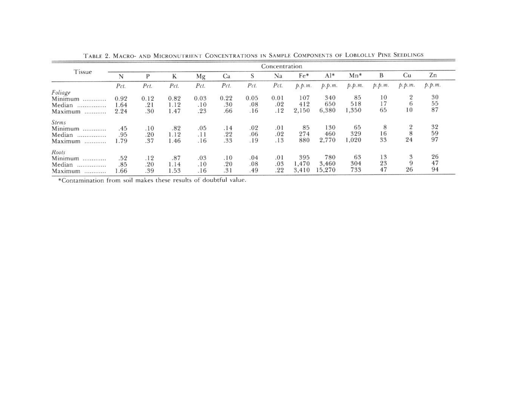| Tissue       | Concentration |      |      |      |      |      |      |        |                  |        |        |                |                                               |
|--------------|---------------|------|------|------|------|------|------|--------|------------------|--------|--------|----------------|-----------------------------------------------|
|              | N             | P    | K    | Mg   | Ca   | S    | Na   | Fe*    | $A$ <sup>*</sup> | $Mn*$  | B      | Cu             | Zn                                            |
|              | Pct.          | Pct. | Pct. | Pct. | Pct. | Pct. | Pct. | p.p.m. | p.p.m.           | p.p.m. | p.p.m. | p.p.m.         | p.p.m.                                        |
| Foliage      |               |      |      |      |      |      |      |        |                  |        |        |                |                                               |
| Minimum<br>  | 0.92          | 0.12 | 0.82 | 0.03 | 0.22 | 0.05 | 0.01 | 107    | 340              | 85     | 10     | $\overline{2}$ |                                               |
| Median<br>   | 1.64          | .21  | 1.12 | .10  | .30  | .08  | .02  | 412    | 650              | 518    | 17     | $^{6}$         | $\begin{array}{c} 30 \\ 55 \\ 87 \end{array}$ |
| Maximum<br>  | 2.24          | .30  | 1.47 | .23  | .66  | .16  | .12  | 2,150  | 6,380            | 1,350  | 65     | 10             |                                               |
| <b>Stems</b> |               |      |      |      |      |      |      |        |                  |        |        |                |                                               |
| Minimum      | .45           | .10  | .82  | .05  | .14  | .02  | .01  | 85     | 130              | 65     | 8      | $\overline{2}$ | 32                                            |
| Median<br>   | .95           | .20  | 1.12 | .11  | .22  | .06  | .02  | 274    | 460              | 329    | 16     | 8              | $\frac{59}{97}$                               |
| Maximum<br>  | 1.79          | .37  | 1.46 | .16  | .33  | .19  | .13  | 880    | 2,770            | 1,020  | 33     | 24             |                                               |
| Roots        |               |      |      |      |      |      |      |        |                  |        |        |                |                                               |
| Minimum<br>. | .52           | .12  | .87  | .03  | .10  | .04  | .01  | 395    | 780              | 63     | 13     | 3              | 26                                            |
| Median<br>   | .85           | .20  | 1.14 | .10  | .20  | .08  | .03  | 1,470  | 3,460            | 304    | 23     | 9              | 47                                            |
| Maximum<br>  | 1.66          | .39  | 1.53 | .16  | .31  | .49  | .22  | 3,410  | 15,270           | 733    | 47     | 26             | 94                                            |

TABLE 2. MACRO- AND MICRONUTRIENT CONCENTRATIONS IN SAMPLE COMPONENTS OF LOBLOLLY PINE SEEDLINGS

\*Contamination from soil makes these results of doubtful value.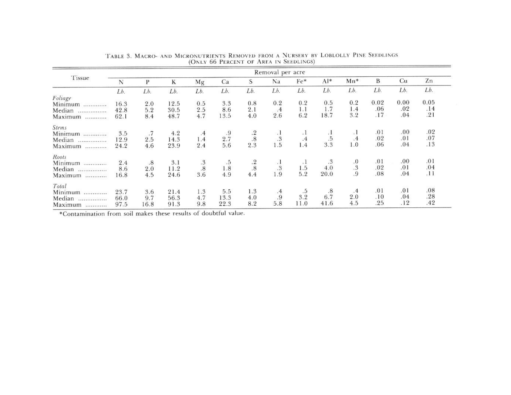|                                                                                                                                                                                                                                                                                                                                                                                                                                                                         | Removal per acre |      |         |                                                |         |                                                |               |           |                 |                                               |      |      |      |
|-------------------------------------------------------------------------------------------------------------------------------------------------------------------------------------------------------------------------------------------------------------------------------------------------------------------------------------------------------------------------------------------------------------------------------------------------------------------------|------------------|------|---------|------------------------------------------------|---------|------------------------------------------------|---------------|-----------|-----------------|-----------------------------------------------|------|------|------|
| Tissue                                                                                                                                                                                                                                                                                                                                                                                                                                                                  | N                | P    | $\bf K$ | Mg                                             | Ca      | S                                              | Na            | Fe*       | Al*             | $Mn*$                                         | B    | Cu   | Zn   |
|                                                                                                                                                                                                                                                                                                                                                                                                                                                                         | Lb.              | Lb.  | Lb.     | Lb.                                            | Lb.     | Lb.                                            | Lb.           | Lb.       | Lb.             | Lb.                                           | Lb.  | Lb.  | Lb.  |
| Foliage                                                                                                                                                                                                                                                                                                                                                                                                                                                                 |                  |      |         |                                                |         |                                                |               |           |                 |                                               |      |      |      |
| Minimum<br>                                                                                                                                                                                                                                                                                                                                                                                                                                                             | 16.3             | 2.0  | 12.5    | 0.5                                            | 3.3     | 0.8                                            | 0.2           | 0.2       | 0.5             | 0.2                                           | 0.02 | 0.00 | 0.05 |
| Median<br>$\label{eq:constr} \mathcal{L}(\mathbf{z}) = \mathcal{L}(\mathbf{z}) = \mathcal{L}(\mathbf{z}) = \mathcal{L}(\mathbf{z}) = \mathcal{L}(\mathbf{z}) = \mathcal{L}(\mathbf{z}) = \mathcal{L}(\mathbf{z}) = \mathcal{L}(\mathbf{z}) = \mathcal{L}(\mathbf{z}) = \mathcal{L}(\mathbf{z}) = \mathcal{L}(\mathbf{z}) = \mathcal{L}(\mathbf{z}) = \mathcal{L}(\mathbf{z}) = \mathcal{L}(\mathbf{z}) = \mathcal{L}(\mathbf{z}) = \mathcal{L}(\mathbf{z}) = \mathcal{$ | 42.8             | 5.2  | 30.5    | 2.5                                            | 8.6     | 2.1                                            | .4            | 1.1       | 1.7             | 1.4                                           | .06  | .02  | .14  |
| Maximum                                                                                                                                                                                                                                                                                                                                                                                                                                                                 | 62.1             | 8.4  | 48.7    | 4.7                                            | 13.5    | 4.0                                            | 2.6           | 6.2       | 18.7            | 3.2                                           | .17  | .04  | .21  |
| <b>Stems</b>                                                                                                                                                                                                                                                                                                                                                                                                                                                            |                  |      |         |                                                |         |                                                |               |           |                 |                                               |      |      |      |
| <b>Minimum</b>                                                                                                                                                                                                                                                                                                                                                                                                                                                          | 3.5              | .7   | 4.2     | .4                                             |         |                                                | $\cdot$       | $\cdot$   |                 | $\cdot$ <sub>1</sub>                          | .01  | .00. | .02  |
| Median<br>                                                                                                                                                                                                                                                                                                                                                                                                                                                              | 12.9             | 2.5  | 14.3    | 1.4                                            | $2.7^9$ |                                                | $.3\,$        | $\cdot$   | $\frac{1}{3.3}$ | .4                                            | .02  | .01  | .07  |
| Maximum                                                                                                                                                                                                                                                                                                                                                                                                                                                                 | 24.2             | 4.6  | 23.9    | 2.4                                            | 5.6     | $\begin{array}{c} .2 \\ .8 \\ 2.3 \end{array}$ | 1.5           | 1.4       |                 | 1.0                                           | .06  | .04  | .13  |
| Roots                                                                                                                                                                                                                                                                                                                                                                                                                                                                   |                  |      |         |                                                |         |                                                |               |           |                 |                                               |      |      |      |
| Minimum<br>                                                                                                                                                                                                                                                                                                                                                                                                                                                             | 2.4              | .8   | 3.1     |                                                | $.5\,$  | $\frac{.2}{.8}$                                | $\frac{1}{3}$ | $\cdot$ 1 | 3, 3            | $\begin{smallmatrix}0\3\3\9\end{smallmatrix}$ | .01  | .00. | .01  |
| Median<br>                                                                                                                                                                                                                                                                                                                                                                                                                                                              | 8.6              | 2.0  | 11.2    |                                                | 1.8     |                                                |               | 1.5       |                 |                                               | .02  | .01  | .04  |
| Maximum                                                                                                                                                                                                                                                                                                                                                                                                                                                                 | 16.8             | 4.5  | 24.6    | $\begin{array}{c} .3 \\ .8 \\ 3.6 \end{array}$ | 4.9     | 4.4                                            | 1.9           | 5.2       | 20.0            |                                               | .08  | .04  | .11  |
| Total                                                                                                                                                                                                                                                                                                                                                                                                                                                                   |                  |      |         |                                                |         |                                                |               |           |                 |                                               |      |      |      |
| Minimum<br>                                                                                                                                                                                                                                                                                                                                                                                                                                                             | 23.7             | 3.6  | 21.4    | 1.3                                            | 5.5     | 1.3                                            | $\frac{4}{9}$ | .5        | .8              | .4                                            | .01  | .01  | .08  |
| Median<br>                                                                                                                                                                                                                                                                                                                                                                                                                                                              | 66.0             | 9.7  | 56.3    | 4.7                                            | 13.3    | 4.0                                            |               | 3.2       | 6.7             | 2.0                                           | .10  | .04  | .28  |
| Maximum                                                                                                                                                                                                                                                                                                                                                                                                                                                                 | 97.5             | 16.8 | 91.3    | 9.8                                            | 22.3    | 8.2                                            | 5.8           | 11.0      | 41.6            | 4.5                                           | .25  | .12  | .42  |

TABLE 3. MACRO- AND MICRONUTRIENTS REMOVED FROM A NURSERY BY LOBLOLLY PINE SEEDLINGS (ONLY 66 PERCENT OF AREA IN SEEDLINGS)

\*Contamination from soil makes these results of doubtful value.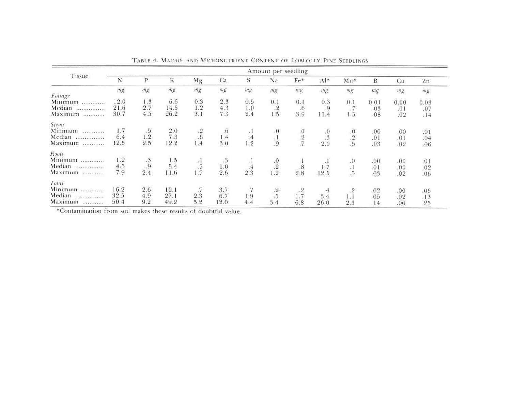| Tissue                                         | Amount per seedling |        |      |             |      |                  |                                               |                 |                  |                      |      |      |      |
|------------------------------------------------|---------------------|--------|------|-------------|------|------------------|-----------------------------------------------|-----------------|------------------|----------------------|------|------|------|
|                                                | N                   | P      | K    | Mg          | Ca   | S                | Na                                            | $Fe*$           | $A$ <sup>*</sup> | $Mn*$                | B    | Cu   | Zn   |
|                                                | mg                  | mg     | mg   | mg          | mg   | mg               | mg                                            | mg              | mg               | mg                   | mg   | mg   | mg   |
| Foliage                                        |                     |        |      |             |      |                  |                                               |                 |                  |                      |      |      |      |
| Minimum                                        | 12.0                | 1.3    | 6.6  | 0.3         | 2.3  | 0.5              | 0.1                                           | 0.1             | 0.3              | 0.1                  | 0.01 | 0.00 | 0.03 |
| Median<br><b>State and and analyzing and a</b> | 21.6                | 2.7    | 14.5 | 1.2         | 4.3  | 1.0              | $.2\phantom{0}$                               | .6              | .9               | .7                   | .03  | .01  | .07  |
| Maximum                                        | 30.7                | 4.5    | 26.2 | 3.1         | 7.3  | 2.4              | 1.5                                           | 3.9             | 11.4             | 1.5                  | .08  | .02  | .14  |
| <b>Stems</b>                                   |                     |        |      |             |      |                  |                                               |                 |                  |                      |      |      |      |
| Minimum                                        | 1.7                 | .5     | 2.0  | $\cdot$ 2   | .6   | . L              |                                               | .0              |                  | .0                   | .00. | .00. | .01  |
| Median                                         | 6.4                 | 1.2    | 7.3  | .6          | 1.4  | .4               |                                               |                 | $\frac{.0}{.3}$  |                      | .01  | .01  | .04  |
| Maximum                                        | 12.5                | 2.5    | 12.2 | 1.4         | 3.0  | 1.2              | $\begin{array}{c} .0 \\ .1 \\ .9 \end{array}$ | $\frac{.2}{.7}$ | 2.0              | $\frac{.2}{.5}$      | .03  | .02  | .06  |
| Roots                                          |                     |        |      |             |      |                  |                                               |                 |                  |                      |      |      |      |
| Minimum                                        | 1.2                 | $.3\,$ | 1.5  |             | .3   | $\cdot$ 1        |                                               | ٠.              |                  |                      | .00  | .00. | .01  |
| Median                                         | 4.5                 | .9     | 5.4  |             | 1.0  |                  | $\overset{.0}{\underset{.2}{.2}}$             | .8              | 1.7              | $\cdot$ <sup>0</sup> | .01  | .00  | .02  |
| Maximum                                        | 7.9                 | 2.4    | 11.6 | $.5$<br>1.7 | 2.6  | $2.\overline{3}$ | 1.2                                           | 2.8             | 12.5             | a 1<br>.5            | .03  | .02  | .06  |
| Total                                          |                     |        |      |             |      |                  |                                               |                 |                  |                      |      |      |      |
| Minimum<br>                                    | 16.2                | 2.6    | 10.1 | .7          | 3.7  | .7               |                                               | .2              | $\cdot$ .4       | $.2\phantom{0}$      | .02  | .00. | .06  |
| Median<br>                                     | 32.5                | 4.9    | 27.1 | 2.3         | 6.7  | 1.9              | $\stackrel{.2}{.5}$                           | 1.7             | 3.4              | 1.1                  | .05  | .02  | .13  |
| Maximum                                        | 50.4                | 9.2    | 49.2 | 5.2         | 12.0 | 4.4              | 3.4                                           | 6.8             | 26.0             | 2.3                  | .14  | .06  | .25  |

TABLE 4. MACRO- AND MICRONUTRIENT CONTENT OF LOBLOLLY PINE SEEDLINGS

\*Contamination from soil makes these results of doubtful value.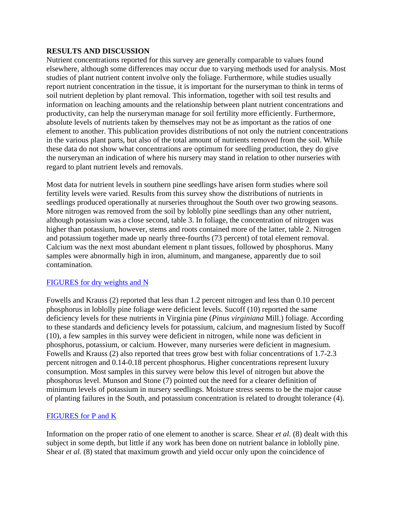### **RESULTS AND DISCUSSION**

Nutrient concentrations reported for this survey are generally comparable to values found elsewhere, although some differences may occur due to varying methods used for analysis. Most studies of plant nutrient content involve only the foliage. Furthermore, while studies usually report nutrient concentration in the tissue, it is important for the nurseryman to think in terms of soil nutrient depletion by plant removal. This information, together with soil test results and information on leaching amounts and the relationship between plant nutrient concentrations and productivity, can help the nurseryman manage for soil fertility more efficiently. Furthermore, absolute levels of nutrients taken by themselves may not be as important as the ratios of one element to another. This publication provides distributions of not only the nutrient concentrations in the various plant parts, but also of the total amount of nutrients removed from the soil. While these data do not show what concentrations are optimum for seedling production, they do give the nurseryman an indication of where his nursery may stand in relation to other nurseries with regard to plant nutrient levels and removals.

Most data for nutrient levels in southern pine seedlings have arisen form studies where soil fertility levels were varied. Results from this survey show the distributions of nutrients in seedlings produced operationally at nurseries throughout the South over two growing seasons. More nitrogen was removed from the soil by loblolly pine seedlings than any other nutrient, although potassium was a close second, table 3. In foliage, the concentration of nitrogen was higher than potassium, however, stems and roots contained more of the latter, table 2. Nitrogen and potassium together made up nearly three-fourths (73 percent) of total element removal. Calcium was the next most abundant element n plant tissues, followed by phosphorus. Many samples were abnormally high in iron, aluminum, and manganese, apparently due to soil contamination.

# [FIGURES for dry weights and N](http://www.sfws.auburn.edu/sfnmc/pubs/manuscri/nutrient/fig23.jpg)

Fowells and Krauss (2) reported that less than 1.2 percent nitrogen and less than 0.10 percent phosphorus in loblolly pine foliage were deficient levels. Sucoff (10) reported the same deficiency levels for these nutrients in Virginia pine (*Pinus virginiana* Mill.) foliage. According to these standards and deficiency levels for potassium, calcium, and magnesium listed by Sucoff (10), a few samples in this survey were deficient in nitrogen, while none was deficient in phosphorus, potassium, or calcium. However, many nurseries were deficient in magnesium. Fowells and Krauss (2) also reported that trees grow best with foliar concentrations of 1.7-2.3 percent nitrogen and 0.14-0.18 percent phosphorus. Higher concentrations represent luxury consumption. Most samples in this survey were below this level of nitrogen but above the phosphorus level. Munson and Stone (7) pointed out the need for a clearer definition of minimum levels of potassium in nursery seedlings. Moisture stress seems to be the major cause of planting failures in the South, and potassium concentration is related to drought tolerance (4).

# [FIGURES for P and K](http://www.sfws.auburn.edu/sfnmc/pubs/manuscri/nutrient/fig45.jpg)

Information on the proper ratio of one element to another is scarce. Shear *et al.* (8) dealt with this subject in some depth, but little if any work has been done on nutrient balance in loblolly pine. Shear *et al.* (8) stated that maximum growth and yield occur only upon the coincidence of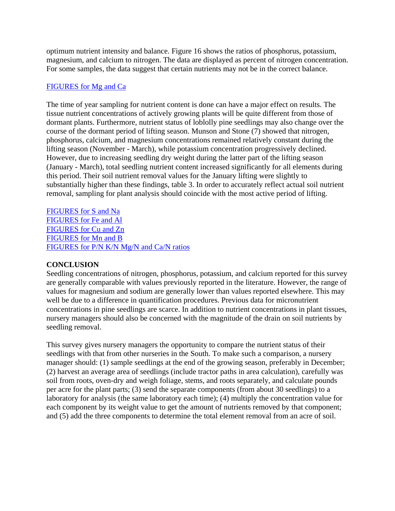optimum nutrient intensity and balance. Figure 16 shows the ratios of phosphorus, potassium, magnesium, and calcium to nitrogen. The data are displayed as percent of nitrogen concentration. For some samples, the data suggest that certain nutrients may not be in the correct balance.

### [FIGURES for Mg and Ca](http://www.sfws.auburn.edu/sfnmc/pubs/manuscri/nutrient/fig67.jpg)

The time of year sampling for nutrient content is done can have a major effect on results. The tissue nutrient concentrations of actively growing plants will be quite different from those of dormant plants. Furthermore, nutrient status of loblolly pine seedlings may also change over the course of the dormant period of lifting season. Munson and Stone (7) showed that nitrogen, phosphorus, calcium, and magnesium concentrations remained relatively constant during the lifting season (November - March), while potassium concentration progressively declined. However, due to increasing seedling dry weight during the latter part of the lifting season (January - March), total seedling nutrient content increased significantly for all elements during this period. Their soil nutrient removal values for the January lifting were slightly to substantially higher than these findings, table 3. In order to accurately reflect actual soil nutrient removal, sampling for plant analysis should coincide with the most active period of lifting.

[FIGURES for S and Na](http://www.sfws.auburn.edu/sfnmc/pubs/manuscri/nutrient/fig89.jpg) [FIGURES for Fe and Al](http://www.sfws.auburn.edu/sfnmc/pubs/manuscri/nutrient/fig10.jpg) [FIGURES for Cu and Zn](http://www.sfws.auburn.edu/sfnmc/pubs/manuscri/nutrient/fig12.jpg) [FIGURES for Mn and B](http://www.sfws.auburn.edu/sfnmc/pubs/manuscri/nutrient/fig14.jpg) [FIGURES for P/N K/N Mg/N and Ca/N ratios](http://www.sfws.auburn.edu/sfnmc/pubs/manuscri/nutrient/fig16.jpg)

# **CONCLUSION**

Seedling concentrations of nitrogen, phosphorus, potassium, and calcium reported for this survey are generally comparable with values previously reported in the literature. However, the range of values for magnesium and sodium are generally lower than values reported elsewhere. This may well be due to a difference in quantification procedures. Previous data for micronutrient concentrations in pine seedlings are scarce. In addition to nutrient concentrations in plant tissues, nursery managers should also be concerned with the magnitude of the drain on soil nutrients by seedling removal.

This survey gives nursery managers the opportunity to compare the nutrient status of their seedlings with that from other nurseries in the South. To make such a comparison, a nursery manager should: (1) sample seedlings at the end of the growing season, preferably in December; (2) harvest an average area of seedlings (include tractor paths in area calculation), carefully was soil from roots, oven-dry and weigh foliage, stems, and roots separately, and calculate pounds per acre for the plant parts; (3) send the separate components (from about 30 seedlings) to a laboratory for analysis (the same laboratory each time); (4) multiply the concentration value for each component by its weight value to get the amount of nutrients removed by that component; and (5) add the three components to determine the total element removal from an acre of soil.